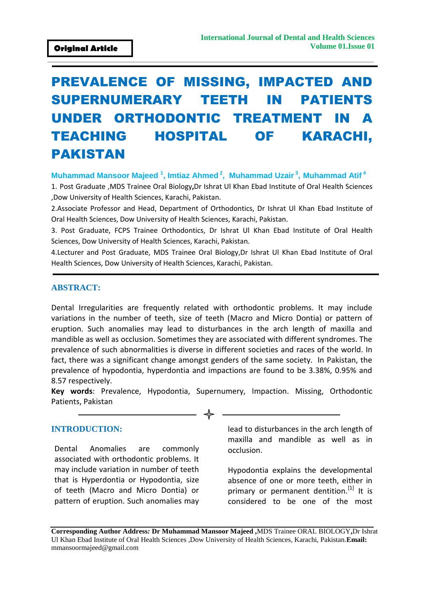# PREVALENCE OF MISSING, IMPACTED AND SUPERNUMERARY TEETH IN PATIENTS UNDER ORTHODONTIC TREATMENT IN A TEACHING HOSPITAL OF KARACHI, PAKISTAN

**Muhammad Mansoor Majeed <sup>1</sup> , Imtiaz Ahmed <sup>2</sup> , Muhammad Uzair <sup>3</sup> , Muhammad Atif <sup>4</sup>**

1. Post Graduate ,MDS Trainee Oral Biology**,**Dr Ishrat Ul Khan Ebad Institute of Oral Health Sciences ,Dow University of Health Sciences, Karachi, Pakistan.

2.Associate Professor and Head, Department of Orthodontics, Dr Ishrat Ul Khan Ebad Institute of Oral Health Sciences, Dow University of Health Sciences, Karachi, Pakistan.

3. Post Graduate, FCPS Trainee Orthodontics, Dr Ishrat Ul Khan Ebad Institute of Oral Health Sciences, Dow University of Health Sciences, Karachi, Pakistan.

4.Lecturer and Post Graduate, MDS Trainee Oral Biology,Dr Ishrat Ul Khan Ebad Institute of Oral Health Sciences, Dow University of Health Sciences, Karachi, Pakistan.

#### **ABSTRACT:**

Dental Irregularities are frequently related with orthodontic problems. It may include variations in the number of teeth, size of teeth (Macro and Micro Dontia) or pattern of eruption. Such anomalies may lead to disturbances in the arch length of maxilla and mandible as well as occlusion. Sometimes they are associated with different syndromes. The prevalence of such abnormalities is diverse in different societies and races of the world. In fact, there was a significant change amongst genders of the same society. In Pakistan, the prevalence of hypodontia, hyperdontia and impactions are found to be 3.38%, 0.95% and 8.57 respectively.

**Key words**: Prevalence, Hypodontia, Supernumery, Impaction. Missing, Orthodontic Patients, Pakistan

#### **INTRODUCTION:**

Dental Anomalies are commonly associated with orthodontic problems. It may include variation in number of teeth that is Hyperdontia or Hypodontia, size of teeth (Macro and Micro Dontia) or pattern of eruption. Such anomalies may lead to disturbances in the arch length of maxilla and mandible as well as in occlusion.

Hypodontia explains the developmental absence of one or more teeth, either in primary or permanent dentition.<sup>[1]</sup> It is considered to be one of the most

**Corresponding Author Address***:* **Dr Muhammad Mansoor Majeed ,**MDS Trainee ORAL BIOLOGY**,**Dr Ishrat Ul Khan Ebad Institute of Oral Health Sciences ,Dow University of Health Sciences, Karachi, Pakistan.**Email:**  [mmansoormajeed@gmail.com](mailto:mmansoormajeed@gmail.com)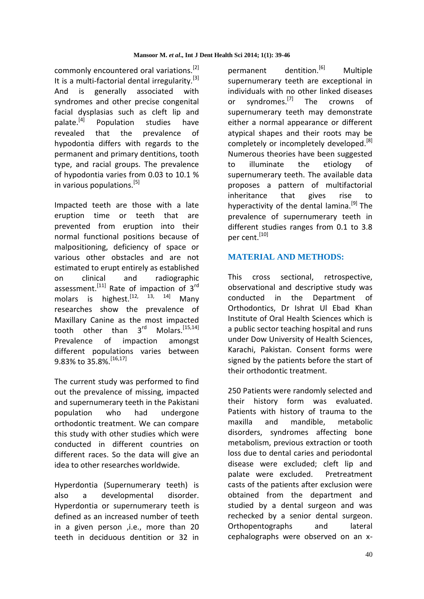commonly encountered oral variations.<sup>[2]</sup> It is a multi-factorial dental irregularity.<sup>[3]</sup> And is generally associated with syndromes and other precise congenital facial dysplasias such as cleft lip and palate.<sup>[4]</sup> Population studies have revealed that the prevalence of hypodontia differs with regards to the permanent and primary dentitions, tooth type, and racial groups. The prevalence of hypodontia varies from 0.03 to 10.1 % in various populations.<sup>[5]</sup>

Impacted teeth are those with a late eruption time or teeth that are prevented from eruption into their normal functional positions because of malpositioning, deficiency of space or various other obstacles and are not estimated to erupt entirely as established on clinical and radiographic assessment.<sup>[11]</sup> Rate of impaction of  $3<sup>rd</sup>$ molars is highest.<sup>[12, 13, 14]</sup> Manv researches show the prevalence of Maxillary Canine as the most impacted tooth other than  $3^{rd}$  Molars.  $[15,14]$ Prevalence of impaction amongst different populations varies between 9.83% to 35.8%.<sup>[16,17]</sup>

The current study was performed to find out the prevalence of missing, impacted and supernumerary teeth in the Pakistani population who had undergone orthodontic treatment. We can compare this study with other studies which were conducted in different countries on different races. So the data will give an idea to other researches worldwide.

Hyperdontia (Supernumerary teeth) is also a developmental disorder. Hyperdontia or supernumerary teeth is defined as an increased number of teeth in a given person ,i.e., more than 20 teeth in deciduous dentition or 32 in

permanent dentition.<sup>[6]</sup> Multiple supernumerary teeth are exceptional in individuals with no other linked diseases or syndromes.<sup>[7]</sup> The crowns of supernumerary teeth may demonstrate either a normal appearance or different atypical shapes and their roots may be completely or incompletely developed.<sup>[8]</sup> Numerous theories have been suggested to illuminate the etiology of supernumerary teeth. The available data proposes a pattern of multifactorial inheritance that gives rise to hyperactivity of the dental lamina.<sup>[9]</sup> The prevalence of supernumerary teeth in different studies ranges from 0.1 to 3.8 per cent.<sup>[10]</sup>

## **MATERIAL AND METHODS:**

This cross sectional, retrospective, observational and descriptive study was conducted in the Department of Orthodontics, Dr Ishrat Ul Ebad Khan Institute of Oral Health Sciences which is a public sector teaching hospital and runs under Dow University of Health Sciences, Karachi, Pakistan. Consent forms were signed by the patients before the start of their orthodontic treatment.

250 Patients were randomly selected and their history form was evaluated. Patients with history of trauma to the maxilla and mandible, metabolic disorders, syndromes affecting bone metabolism, previous extraction or tooth loss due to dental caries and periodontal disease were excluded; cleft lip and palate were excluded. Pretreatment casts of the patients after exclusion were obtained from the department and studied by a dental surgeon and was rechecked by a senior dental surgeon. Orthopentographs and lateral cephalographs were observed on an x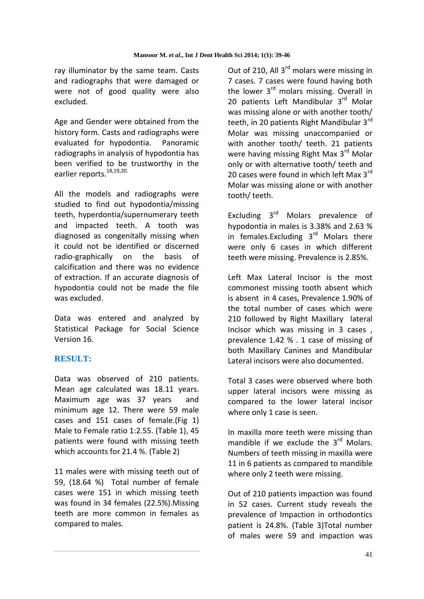ray illuminator by the same team. Casts and radiographs that were damaged or were not of good quality were also excluded.

Age and Gender were obtained from the history form. Casts and radiographs were evaluated for hypodontia. Panoramic radiographs in analysis of hypodontia has been verified to be trustworthy in the earlier reports.<sup>18,19,20.</sup>

All the models and radiographs were studied to find out hypodontia/missing teeth, hyperdontia/supernumerary teeth and impacted teeth. A tooth was diagnosed as congenitally missing when it could not be identified or discerned radio-graphically on the basis of calcification and there was no evidence of extraction. If an accurate diagnosis of hypodontia could not be made the file was excluded.

Data was entered and analyzed by Statistical Package for Social Science Version 16.

## **RESULT:**

Data was observed of 210 patients. Mean age calculated was 18.11 years. Maximum age was 37 years and minimum age 12. There were 59 male cases and 151 cases of female.(Fig 1) Male to Female ratio 1:2.55. (Table 1), 45 patients were found with missing teeth which accounts for 21.4 %. (Table 2)

11 males were with missing teeth out of 59, (18.64 %) Total number of female cases were 151 in which missing teeth was found in 34 females (22.5%).Missing teeth are more common in females as compared to males.

Out of 210, All 3<sup>rd</sup> molars were missing in 7 cases. 7 cases were found having both the lower  $3<sup>rd</sup>$  molars missing. Overall in 20 patients Left Mandibular 3<sup>rd</sup> Molar was missing alone or with another tooth/ teeth, in 20 patients Right Mandibular 3<sup>rd</sup> Molar was missing unaccompanied or with another tooth/ teeth. 21 patients were having missing Right Max 3<sup>rd</sup> Molar only or with alternative tooth/ teeth and 20 cases were found in which left Max 3rd Molar was missing alone or with another tooth/ teeth.

Excluding 3rd Molars prevalence of hypodontia in males is 3.38% and 2.63 % in females. Excluding  $3<sup>rd</sup>$  Molars there were only 6 cases in which different teeth were missing. Prevalence is 2.85%.

Left Max Lateral Incisor is the most commonest missing tooth absent which is absent in 4 cases, Prevalence 1.90% of the total number of cases which were 210 followed by Right Maxillary lateral Incisor which was missing in 3 cases , prevalence 1.42 % . 1 case of missing of both Maxillary Canines and Mandibular Lateral incisors were also documented.

Total 3 cases were observed where both upper lateral incisors were missing as compared to the lower lateral incisor where only 1 case is seen.

In maxilla more teeth were missing than mandible if we exclude the  $3<sup>rd</sup>$  Molars. Numbers of teeth missing in maxilla were 11 in 6 patients as compared to mandible where only 2 teeth were missing.

Out of 210 patients impaction was found in 52 cases. Current study reveals the prevalence of Impaction in orthodontics patient is 24.8%. (Table 3)Total number of males were 59 and impaction was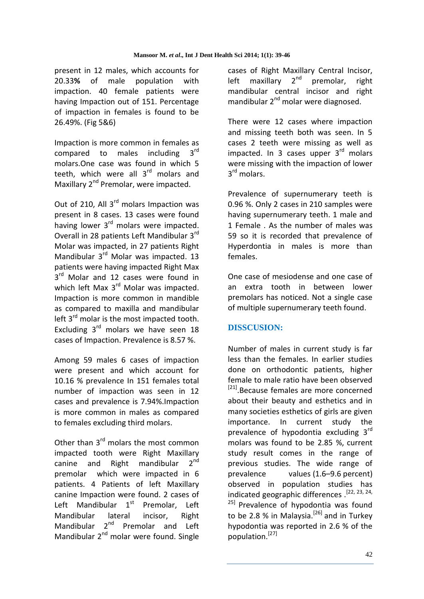present in 12 males, which accounts for 20.33**%** of male population with impaction. 40 female patients were having Impaction out of 151. Percentage of impaction in females is found to be 26.49%. (Fig 5&6)

Impaction is more common in females as compared to males including  $3<sup>rd</sup>$ molars.One case was found in which 5 teeth, which were all 3<sup>rd</sup> molars and Maxillary 2<sup>nd</sup> Premolar, were impacted.

Out of 210, All 3<sup>rd</sup> molars Impaction was present in 8 cases. 13 cases were found having lower 3<sup>rd</sup> molars were impacted. Overall in 28 patients Left Mandibular 3rd Molar was impacted, in 27 patients Right Mandibular 3<sup>rd</sup> Molar was impacted. 13 patients were having impacted Right Max 3<sup>rd</sup> Molar and 12 cases were found in which left Max 3<sup>rd</sup> Molar was impacted. Impaction is more common in mandible as compared to maxilla and mandibular left  $3^{rd}$  molar is the most impacted tooth. Excluding 3<sup>rd</sup> molars we have seen 18 cases of Impaction. Prevalence is 8.57 %.

Among 59 males 6 cases of impaction were present and which account for 10.16 % prevalence In 151 females total number of impaction was seen in 12 cases and prevalence is 7.94%.Impaction is more common in males as compared to females excluding third molars.

Other than 3<sup>rd</sup> molars the most common impacted tooth were Right Maxillary canine and Right mandibular  $2^{nd}$ premolar which were impacted in 6 patients. 4 Patients of left Maxillary canine Impaction were found. 2 cases of Left Mandibular  $1<sup>st</sup>$  Premolar, Left Mandibular lateral incisor, Right Mandibular 2<sup>nd</sup> Premolar and Left Mandibular 2<sup>nd</sup> molar were found. Single

cases of Right Maxillary Central Incisor, left maxillary  $2^{nd}$  premolar, right mandibular central incisor and right mandibular 2<sup>nd</sup> molar were diagnosed.

There were 12 cases where impaction and missing teeth both was seen. In 5 cases 2 teeth were missing as well as impacted. In 3 cases upper  $3<sup>rd</sup>$  molars were missing with the impaction of lower 3<sup>rd</sup> molars.

Prevalence of supernumerary teeth is 0.96 %. Only 2 cases in 210 samples were having supernumerary teeth. 1 male and 1 Female . As the number of males was 59 so it is recorded that prevalence of Hyperdontia in males is more than females.

One case of mesiodense and one case of an extra tooth in between lower premolars has noticed. Not a single case of multiple supernumerary teeth found.

## **DISSCUSION:**

Number of males in current study is far less than the females. In earlier studies done on orthodontic patients, higher female to male ratio have been observed <sup>[21]</sup>.Because females are more concerned about their beauty and esthetics and in many societies esthetics of girls are given importance. In current study the prevalence of hypodontia excluding 3rd molars was found to be 2.85 %, current study result comes in the range of previous studies. The wide range of prevalence values (1.6–9.6 percent) observed in population studies has indicated geographic differences . [22, 23, 24, <sup>25]</sup> Prevalence of hypodontia was found to be 2.8 % in Malaysia.<sup>[26]</sup> and in Turkey hypodontia was reported in 2.6 % of the population.[27]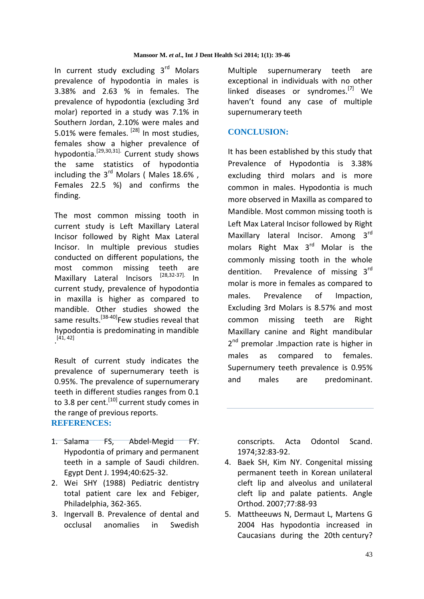In current study excluding 3rd Molars prevalence of hypodontia in males is 3.38% and 2.63 % in females. The prevalence of hypodontia (excluding 3rd molar) reported in a study was 7.1% in Southern Jordan, 2.10% were males and 5.01% were females. [28] In most studies, females show a higher prevalence of hypodontia.[29,30,31]. Current study shows the same statistics of hypodontia including the  $3^{rd}$  Molars (Males 18.6%, Females 22.5 %) and confirms the finding.

The most common missing tooth in current study is Left Maxillary Lateral Incisor followed by Right Max Lateral Incisor. In multiple previous studies conducted on different populations, the most common missing teeth are<br>Maxillary Lateral Incisors <sup>[28,32-37].</sup> In Maxillary Lateral Incisors [28,32-37]. In current study, prevalence of hypodontia in maxilla is higher as compared to mandible. Other studies showed the same results.<sup>[38-40]</sup>Few studies reveal that hypodontia is predominating in mandible . [41, 42]

Result of current study indicates the prevalence of supernumerary teeth is 0.95%. The prevalence of supernumerary teeth in different studies ranges from 0.1 to 3.8 per cent.<sup>[10]</sup> current study comes in the range of previous reports. **REFERENCES:**

- 1. Salama FS, Abdel-Megid FY. Hypodontia of primary and permanent teeth in a sample of Saudi children. Egypt Dent J. 1994;40:625-32.
- 2. Wei SHY (1988) Pediatric dentistry total patient care lex and Febiger, Philadelphia, 362-365.
- 3. Ingervall B. Prevalence of dental and occlusal anomalies in Swedish

Multiple supernumerary teeth are exceptional in individuals with no other linked diseases or syndromes.<sup>[7]</sup> We haven't found any case of multiple supernumerary teeth

#### **CONCLUSION:**

It has been established by this study that Prevalence of Hypodontia is 3.38% excluding third molars and is more common in males. Hypodontia is much more observed in Maxilla as compared to Mandible. Most common missing tooth is Left Max Lateral Incisor followed by Right Maxillary lateral Incisor. Among 3<sup>rd</sup> molars Right Max 3rd Molar is the commonly missing tooth in the whole dentition. Prevalence of missing 3rd molar is more in females as compared to males. Prevalence of Impaction, Excluding 3rd Molars is 8.57% and most common missing teeth are Right Maxillary canine and Right mandibular 2<sup>nd</sup> premolar . Impaction rate is higher in males as compared to females. Supernumery teeth prevalence is 0.95% and males are predominant.

conscripts. Acta Odontol Scand. 1974;32:83-92.

- 4. Baek SH, Kim NY. Congenital missing permanent teeth in Korean unilateral cleft lip and alveolus and unilateral cleft lip and palate patients. Angle Orthod. 2007;77:88-93
- 5. Mattheeuws N, Dermaut L, Martens G 2004 Has hypodontia increased in Caucasians during the 20th century?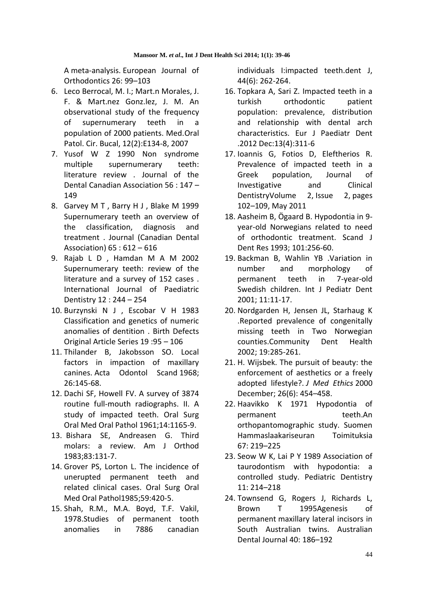A meta-analysis. European Journal of Orthodontics 26: 99–103

- 6. Leco Berrocal, M. I.; Mart.n Morales, J. F. & Mart.nez Gonz.lez, J. M. An observational study of the frequency of supernumerary teeth in a population of 2000 patients. Med.Oral Patol. Cir. Bucal, 12(2):E134-8, 2007
- 7. Yusof W Z 1990 Non syndrome multiple supernumerary teeth: literature review . Journal of the Dental Canadian Association 56 : 147 – 149
- 8. Garvey M T , Barry H J , Blake M 1999 Supernumerary teeth an overview of the classification, diagnosis and treatment . Journal (Canadian Dental Association) 65 : 612 – 616
- 9. Rajab L D , Hamdan M A M 2002 Supernumerary teeth: review of the literature and a survey of 152 cases . International Journal of Paediatric Dentistry 12 : 244 – 254
- 10. Burzynski N J , Escobar V H 1983 Classification and genetics of numeric anomalies of dentition . Birth Defects Original Article Series 19 :95 – 106
- 11. Thilander B, Jakobsson SO. Local factors in impaction of maxillary canines. Acta Odontol Scand 1968; 26:145-68.
- 12. Dachi SF, Howell FV. A survey of 3874 routine full-mouth radiographs. II. A study of impacted teeth. Oral Surg Oral Med Oral Pathol 1961;14:1165-9.
- 13. Bishara SE, Andreasen G. Third molars: a review. Am J Orthod 1983;83:131-7.
- 14. Grover PS, Lorton L. The incidence of unerupted permanent teeth and related clinical cases. Oral Surg Oral Med Oral Pathol1985;59:420-5.
- 15. Shah, R.M., M.A. Boyd, T.F. Vakil, 1978.Studies of permanent tooth anomalies in 7886 canadian

individuals I:impacted teeth.dent J, 44(6): 262-264.

- 16. Topkara A, Sari Z. Impacted teeth in a turkish orthodontic patient population: prevalence, distribution and relationship with dental arch characteristics. Eur J Paediatr Dent .2012 Dec:13(4):311-6
- 17. Ioannis G, Fotios D, Eleftherios R. Prevalence of impacted teeth in a Greek population, Journal of Investigative and Clinical Dentistr[yVolume 2,](http://onlinelibrary.wiley.com/doi/10.1111/jicd.2011.2.issue-2/issuetoc) Issue 2, pages 102–109, May 2011
- 18. Aasheim B, Ögaard B. Hypodontia in 9 year-old Norwegians related to need of orthodontic treatment. Scand J Dent Res 1993; 101:256-60.
- 19. Backman B, Wahlin YB .Variation in number and morphology of permanent teeth in 7-year-old Swedish children. Int J Pediatr Dent 2001; 11:11-17.
- 20. Nordgarden H, Jensen JL, Starhaug K .Reported prevalence of congenitally missing teeth in Two Norwegian counties.Community Dent Health 2002; 19:285-261.
- 21. H. Wijsbek. The pursuit of beauty: the enforcement of aesthetics or a freely adopted lifestyle?. *J Med Ethics* 2000 December; 26(6): 454–458.
- 22. Haavikko K 1971 Hypodontia of permanent teeth.An orthopantomographic study. Suomen Hammaslaakariseuran Toimituksia 67: 219–225
- 23. Seow W K, Lai P Y 1989 Association of taurodontism with hypodontia: a controlled study. Pediatric Dentistry 11: 214–218
- 24. Townsend G, Rogers J, Richards L, Brown T 1995Agenesis of permanent maxillary lateral incisors in South Australian twins. Australian Dental Journal 40: 186–192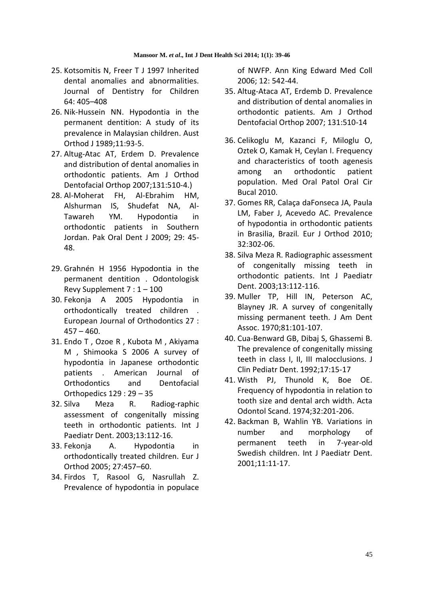- 25. Kotsomitis N, Freer T J 1997 Inherited dental anomalies and abnormalities. Journal of Dentistry for Children 64: 405–408
- 26. Nik-Hussein NN. Hypodontia in the permanent dentition: A study of its prevalence in Malaysian children. Aust Orthod J 1989;11:93-5.
- 27. Altug-Atac AT, Erdem D. Prevalence and distribution of dental anomalies in orthodontic patients. Am J Orthod Dentofacial Orthop 2007;131:510-4.)
- 28. Al-Moherat FH, Al-Ebrahim HM, Alshurman IS, Shudefat NA, Al-Tawareh YM. Hypodontia in orthodontic patients in Southern Jordan. Pak Oral Dent J 2009; 29: 45- 48.
- 29. Grahnén H 1956 Hypodontia in the permanent dentition . Odontologisk Revy Supplement 7 : 1 – 100
- 30. Fekonja A 2005 Hypodontia in orthodontically treated children . European Journal of Orthodontics 27 :  $457 - 460.$
- 31. Endo T , Ozoe R , Kubota M , Akiyama M , Shimooka S 2006 A survey of hypodontia in Japanese orthodontic patients . American Journal of Orthodontics and Dentofacial Orthopedics 129 : 29 – 35
- 32. Silva Meza R. Radiog-raphic assessment of congenitally missing teeth in orthodontic patients. Int J Paediatr Dent. 2003;13:112-16.
- 33. Fekonja A. Hypodontia in orthodontically treated children. Eur J Orthod 2005; 27:457–60.
- 34. Firdos T, Rasool G, Nasrullah Z. Prevalence of hypodontia in populace

of NWFP. Ann King Edward Med Coll 2006; 12: 542-44.

- 35. Altug-Ataca AT, Erdemb D. Prevalence and distribution of dental anomalies in orthodontic patients. Am J Orthod Dentofacial Orthop 2007; 131:510-14
- 36. Celikoglu M, Kazanci F, Miloglu O, Oztek O, Kamak H, Ceylan I. Frequency and characteristics of tooth agenesis among an orthodontic patient population. Med Oral Patol Oral Cir Bucal 2010.
- 37. Gomes RR, Calaça daFonseca JA, Paula LM, Faber J, Acevedo AC. Prevalence of hypodontia in orthodontic patients in Brasilia, Brazil*.* Eur J Orthod 2010; 32:302-06.
- 38. Silva Meza R. Radiographic assessment of congenitally missing teeth in orthodontic patients. Int J Paediatr Dent. 2003;13:112-116.
- 39. Muller TP, Hill IN, Peterson AC, Blayney JR. A survey of congenitally missing permanent teeth. J Am Dent Assoc. 1970;81:101-107.
- 40. Cua-Benward GB, Dibaj S, Ghassemi B. The prevalence of congenitally missing teeth in class I, II, III malocclusions. J Clin Pediatr Dent. 1992;17:15-17
- 41. Wisth PJ, Thunold K, Boe OE. Frequency of hypodontia in relation to tooth size and dental arch width. Acta Odontol Scand. 1974;32:201-206.
- 42. Backman B, Wahlin YB. Variations in number and morphology of permanent teeth in 7-year-old Swedish children. Int J Paediatr Dent. 2001;11:11-17.